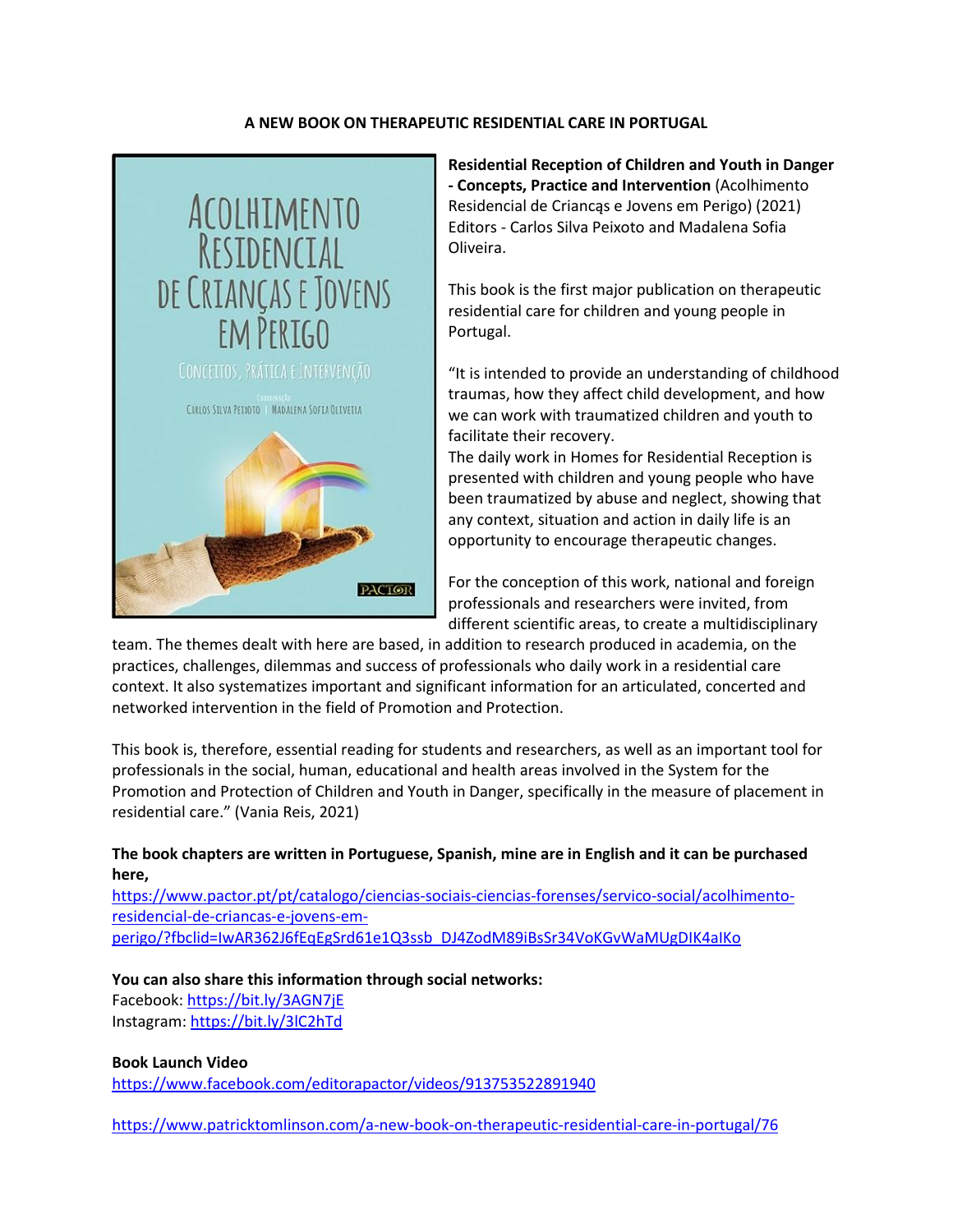## **A NEW BOOK ON THERAPEUTIC RESIDENTIAL CARE IN PORTUGAL**



**Residential Reception of Children and Youth in Danger - Concepts, Practice and Intervention** (Acolhimento Residencial de Criancąs e Jovens em Perigo) (2021) Editors - Carlos Silva Peixoto and Madalena Sofia Oliveira.

This book is the first major publication on therapeutic residential care for children and young people in Portugal.

"It is intended to provide an understanding of childhood traumas, how they affect child development, and how we can work with traumatized children and youth to facilitate their recovery.

The daily work in Homes for Residential Reception is presented with children and young people who have been traumatized by abuse and neglect, showing that any context, situation and action in daily life is an opportunity to encourage therapeutic changes.

For the conception of this work, national and foreign professionals and researchers were invited, from different scientific areas, to create a multidisciplinary

team. The themes dealt with here are based, in addition to research produced in academia, on the practices, challenges, dilemmas and success of professionals who daily work in a residential care context. It also systematizes important and significant information for an articulated, concerted and networked intervention in the field of Promotion and Protection.

This book is, therefore, essential reading for students and researchers, as well as an important tool for professionals in the social, human, educational and health areas involved in the System for the Promotion and Protection of Children and Youth in Danger, specifically in the measure of placement in residential care." (Vania Reis, 2021)

## **The book chapters are written in Portuguese, Spanish, mine are in English and it can be purchased here,**

[https://www.pactor.pt/pt/catalogo/ciencias-sociais-ciencias-forenses/servico-social/acolhimento](https://www.pactor.pt/pt/catalogo/ciencias-sociais-ciencias-forenses/servico-social/acolhimento-residencial-de-criancas-e-jovens-em-perigo/?fbclid=IwAR362J6fEqEgSrd61e1Q3ssb_DJ4ZodM89iBsSr34VoKGvWaMUgDIK4aIKo)[residencial-de-criancas-e-jovens-em-](https://www.pactor.pt/pt/catalogo/ciencias-sociais-ciencias-forenses/servico-social/acolhimento-residencial-de-criancas-e-jovens-em-perigo/?fbclid=IwAR362J6fEqEgSrd61e1Q3ssb_DJ4ZodM89iBsSr34VoKGvWaMUgDIK4aIKo)

[perigo/?fbclid=IwAR362J6fEqEgSrd61e1Q3ssb\\_DJ4ZodM89iBsSr34VoKGvWaMUgDIK4aIKo](https://www.pactor.pt/pt/catalogo/ciencias-sociais-ciencias-forenses/servico-social/acolhimento-residencial-de-criancas-e-jovens-em-perigo/?fbclid=IwAR362J6fEqEgSrd61e1Q3ssb_DJ4ZodM89iBsSr34VoKGvWaMUgDIK4aIKo)

## **You can also share this information through social networks:**

Facebook: <https://bit.ly/3AGN7jE> Instagram: <https://bit.ly/3lC2hTd>

## **Book Launch Video**

<https://www.facebook.com/editorapactor/videos/913753522891940>

<https://www.patricktomlinson.com/a-new-book-on-therapeutic-residential-care-in-portugal/76>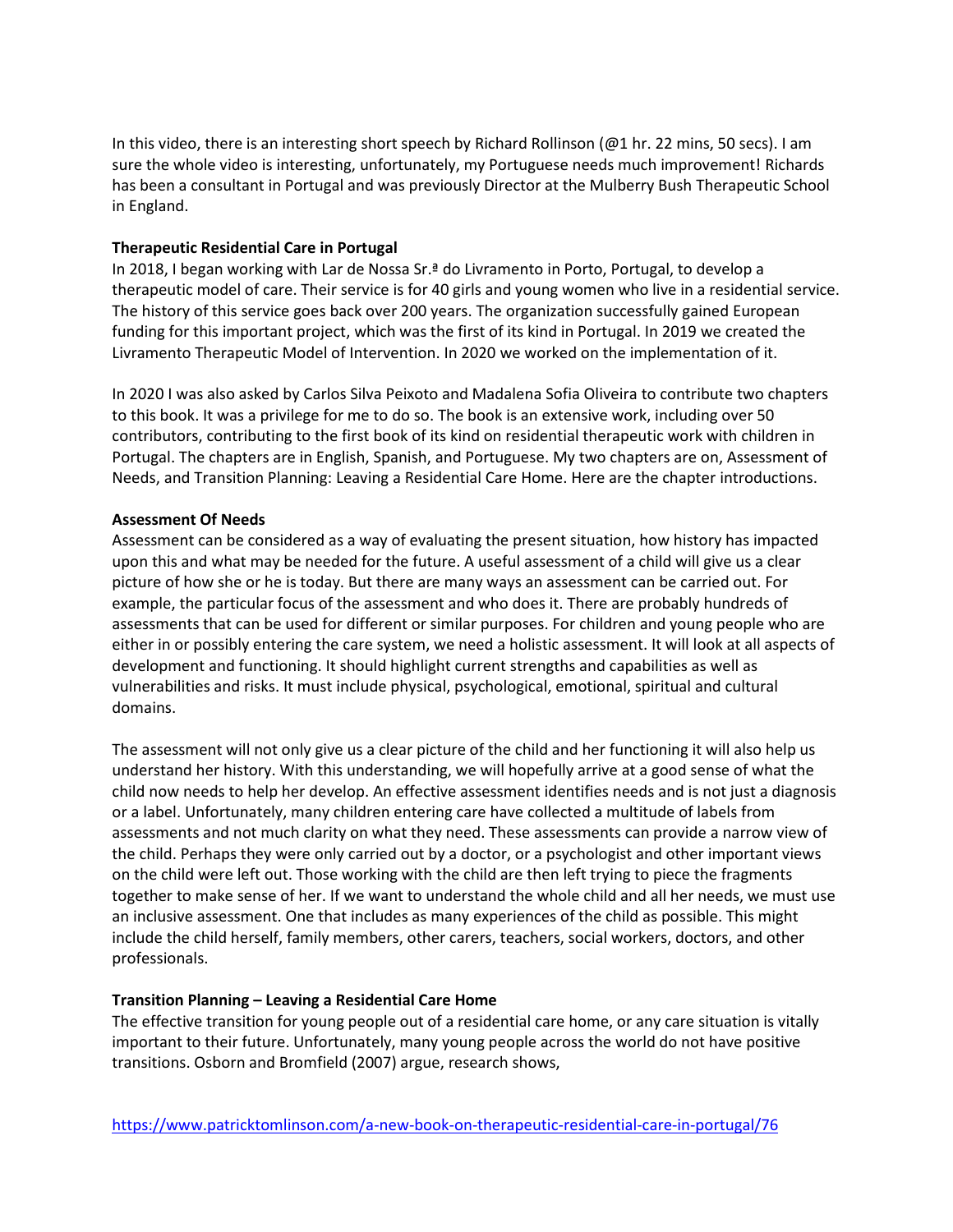In this video, there is an interesting short speech by Richard Rollinson (@1 hr. 22 mins, 50 secs). I am sure the whole video is interesting, unfortunately, my Portuguese needs much improvement! Richards has been a consultant in Portugal and was previously Director at the Mulberry Bush Therapeutic School in England.

### **Therapeutic Residential Care in Portugal**

In 2018, I began working with Lar de Nossa Sr.ª do Livramento in Porto, Portugal, to develop a therapeutic model of care. Their service is for 40 girls and young women who live in a residential service. The history of this service goes back over 200 years. The organization successfully gained European funding for this important project, which was the first of its kind in Portugal. In 2019 we created the Livramento Therapeutic Model of Intervention. In 2020 we worked on the implementation of it.

In 2020 I was also asked by Carlos Silva Peixoto and Madalena Sofia Oliveira to contribute two chapters to this book. It was a privilege for me to do so. The book is an extensive work, including over 50 contributors, contributing to the first book of its kind on residential therapeutic work with children in Portugal. The chapters are in English, Spanish, and Portuguese. My two chapters are on, Assessment of Needs, and Transition Planning: Leaving a Residential Care Home. Here are the chapter introductions.

#### **Assessment Of Needs**

Assessment can be considered as a way of evaluating the present situation, how history has impacted upon this and what may be needed for the future. A useful assessment of a child will give us a clear picture of how she or he is today. But there are many ways an assessment can be carried out. For example, the particular focus of the assessment and who does it. There are probably hundreds of assessments that can be used for different or similar purposes. For children and young people who are either in or possibly entering the care system, we need a holistic assessment. It will look at all aspects of development and functioning. It should highlight current strengths and capabilities as well as vulnerabilities and risks. It must include physical, psychological, emotional, spiritual and cultural domains.

The assessment will not only give us a clear picture of the child and her functioning it will also help us understand her history. With this understanding, we will hopefully arrive at a good sense of what the child now needs to help her develop. An effective assessment identifies needs and is not just a diagnosis or a label. Unfortunately, many children entering care have collected a multitude of labels from assessments and not much clarity on what they need. These assessments can provide a narrow view of the child. Perhaps they were only carried out by a doctor, or a psychologist and other important views on the child were left out. Those working with the child are then left trying to piece the fragments together to make sense of her. If we want to understand the whole child and all her needs, we must use an inclusive assessment. One that includes as many experiences of the child as possible. This might include the child herself, family members, other carers, teachers, social workers, doctors, and other professionals.

## **Transition Planning – Leaving a Residential Care Home**

The effective transition for young people out of a residential care home, or any care situation is vitally important to their future. Unfortunately, many young people across the world do not have positive transitions. Osborn and Bromfield (2007) argue, research shows,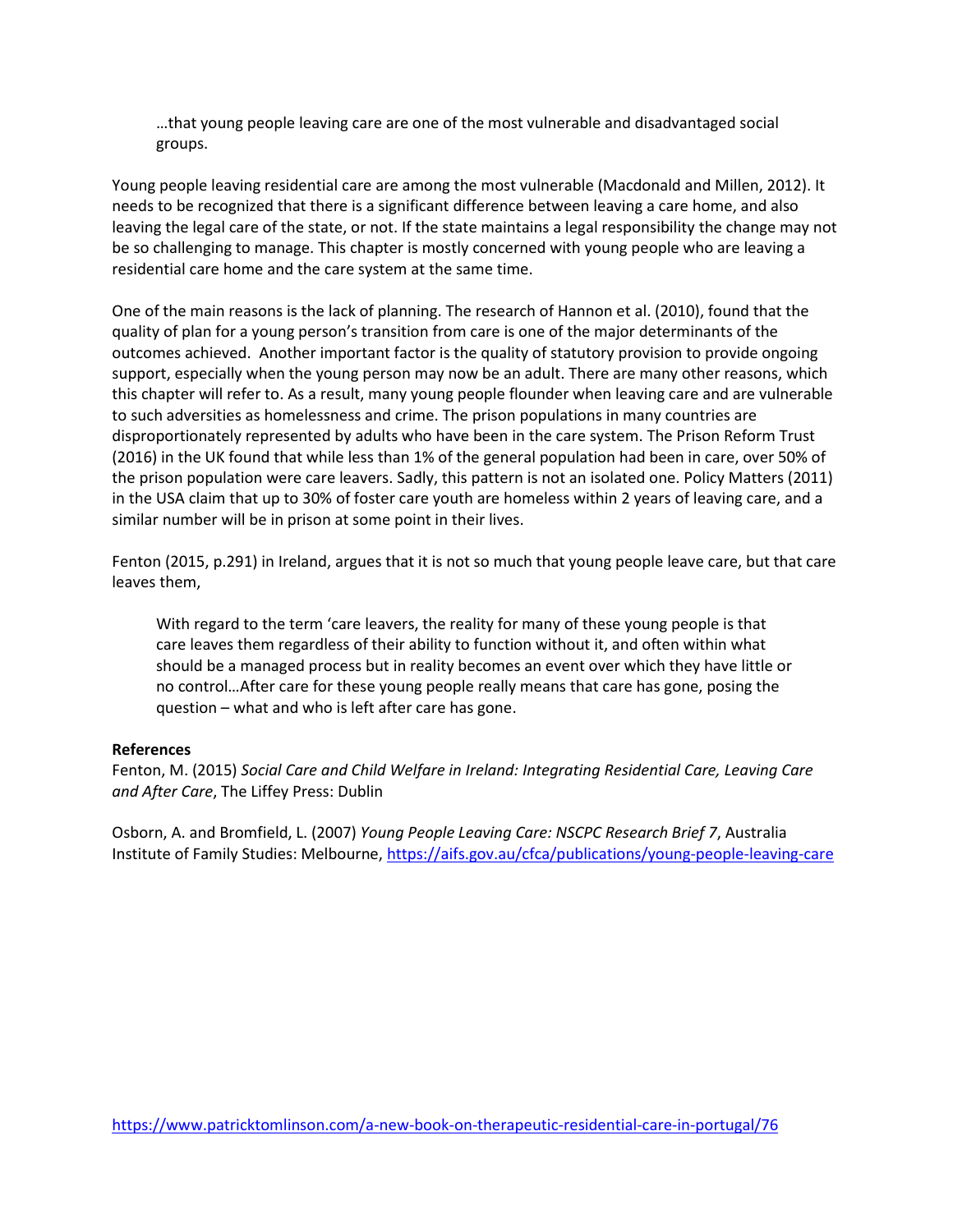…that young people leaving care are one of the most vulnerable and disadvantaged social groups.

Young people leaving residential care are among the most vulnerable (Macdonald and Millen, 2012). It needs to be recognized that there is a significant difference between leaving a care home, and also leaving the legal care of the state, or not. If the state maintains a legal responsibility the change may not be so challenging to manage. This chapter is mostly concerned with young people who are leaving a residential care home and the care system at the same time.

One of the main reasons is the lack of planning. The research of Hannon et al. (2010), found that the quality of plan for a young person's transition from care is one of the major determinants of the outcomes achieved. Another important factor is the quality of statutory provision to provide ongoing support, especially when the young person may now be an adult. There are many other reasons, which this chapter will refer to. As a result, many young people flounder when leaving care and are vulnerable to such adversities as homelessness and crime. The prison populations in many countries are disproportionately represented by adults who have been in the care system. The Prison Reform Trust (2016) in the UK found that while less than 1% of the general population had been in care, over 50% of the prison population were care leavers. Sadly, this pattern is not an isolated one. Policy Matters (2011) in the USA claim that up to 30% of foster care youth are homeless within 2 years of leaving care, and a similar number will be in prison at some point in their lives.

Fenton (2015, p.291) in Ireland, argues that it is not so much that young people leave care, but that care leaves them,

With regard to the term 'care leavers, the reality for many of these young people is that care leaves them regardless of their ability to function without it, and often within what should be a managed process but in reality becomes an event over which they have little or no control…After care for these young people really means that care has gone, posing the question – what and who is left after care has gone.

#### **References**

Fenton, M. (2015) *Social Care and Child Welfare in Ireland: Integrating Residential Care, Leaving Care and After Care*, The Liffey Press: Dublin

Osborn, A. and Bromfield, L. (2007) *Young People Leaving Care: NSCPC Research Brief 7*, Australia Institute of Family Studies: Melbourne[, https://aifs.gov.au/cfca/publications/young-people-leaving-care](https://aifs.gov.au/cfca/publications/young-people-leaving-care)